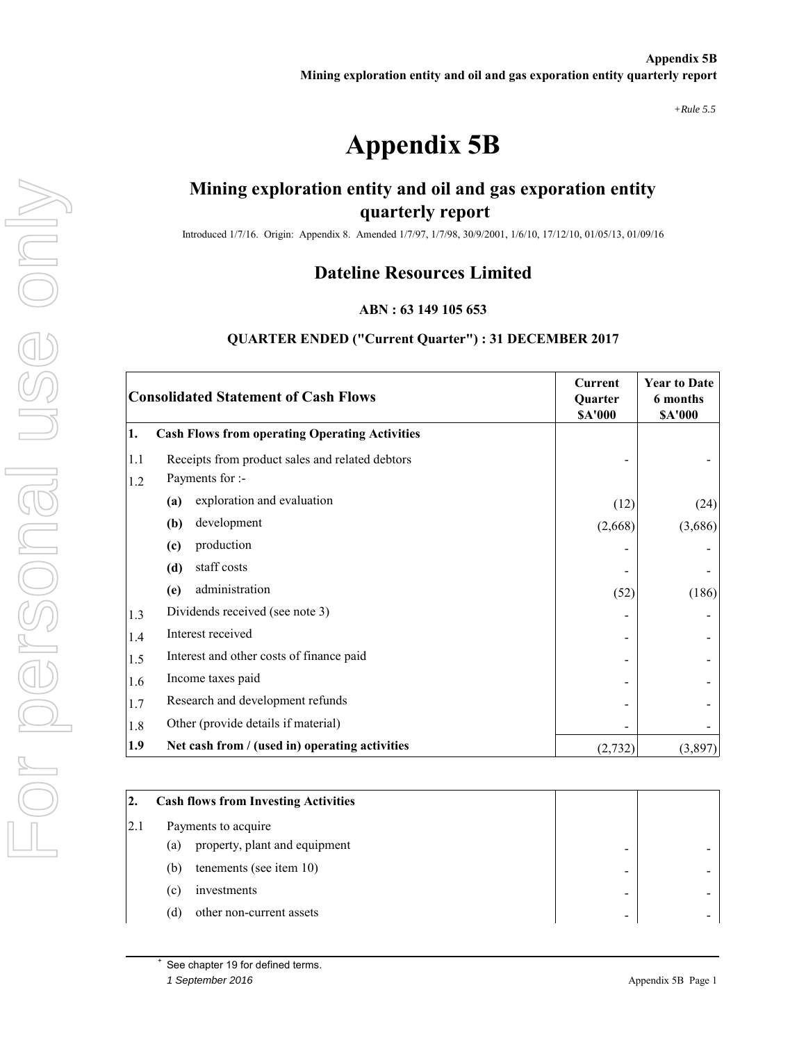*+Rule 5.5*

# **Appendix 5B**

## **Mining exploration entity and oil and gas exporation entity quarterly report**

Introduced 1/7/16. Origin: Appendix 8. Amended 1/7/97, 1/7/98, 30/9/2001, 1/6/10, 17/12/10, 01/05/13, 01/09/16

## **Dateline Resources Limited**

#### **ABN : 63 149 105 653**

#### **QUARTER ENDED ("Current Quarter") : 31 DECEMBER 2017**

| <b>Consolidated Statement of Cash Flows</b> |                                                       | <b>Current</b><br>Quarter<br><b>\$A'000</b> | <b>Year to Date</b><br>6 months<br><b>\$A'000</b> |
|---------------------------------------------|-------------------------------------------------------|---------------------------------------------|---------------------------------------------------|
| 1.                                          | <b>Cash Flows from operating Operating Activities</b> |                                             |                                                   |
| 1.1                                         | Receipts from product sales and related debtors       |                                             |                                                   |
| 1.2                                         | Payments for :-                                       |                                             |                                                   |
|                                             | exploration and evaluation<br>(a)                     | (12)                                        | (24)                                              |
|                                             | development<br>(b)                                    | (2,668)                                     | (3,686)                                           |
|                                             | production<br>(c)                                     |                                             |                                                   |
|                                             | staff costs<br>(d)                                    |                                             |                                                   |
|                                             | administration<br>(e)                                 | (52)                                        | (186)                                             |
| 1.3                                         | Dividends received (see note 3)                       |                                             |                                                   |
| 1.4                                         | Interest received                                     |                                             |                                                   |
| 1.5                                         | Interest and other costs of finance paid              |                                             |                                                   |
| 1.6                                         | Income taxes paid                                     |                                             |                                                   |
| 1.7                                         | Research and development refunds                      |                                             |                                                   |
| 1.8                                         | Other (provide details if material)                   |                                             |                                                   |
| 1.9                                         | Net cash from / (used in) operating activities        | (2, 732)                                    | (3,897)                                           |

| 2.  |     | <b>Cash flows from Investing Activities</b> |  |  |
|-----|-----|---------------------------------------------|--|--|
| 2.1 |     | Payments to acquire                         |  |  |
|     | (a) | property, plant and equipment               |  |  |
|     | (b) | tenements (see item $10$ )                  |  |  |
|     | (c) | investments                                 |  |  |
|     | (d) | other non-current assets                    |  |  |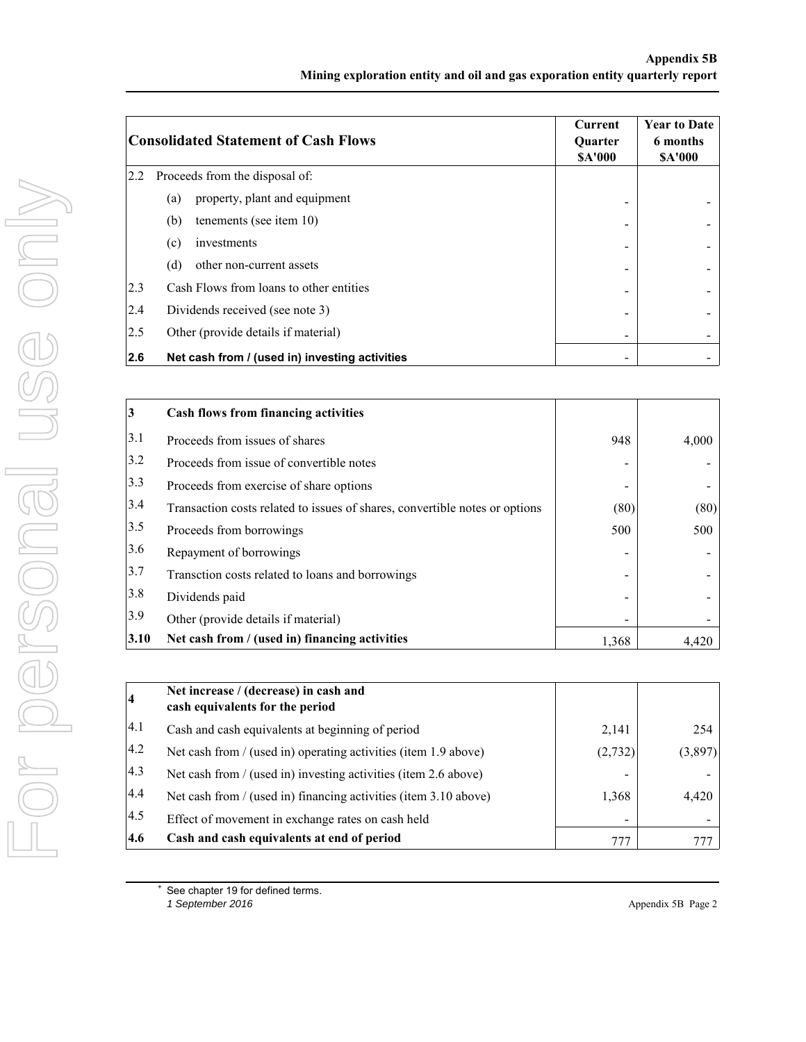|     | <b>Consolidated Statement of Cash Flows</b>    |                          | <b>Year to Date</b><br>6 months<br><b>SA'000</b> |
|-----|------------------------------------------------|--------------------------|--------------------------------------------------|
| 2.2 | Proceeds from the disposal of:                 |                          |                                                  |
|     | property, plant and equipment<br>(a)           |                          |                                                  |
|     | (b)<br>tenements (see item 10)                 |                          |                                                  |
|     | investments<br>(c)                             | -                        |                                                  |
|     | (d)<br>other non-current assets                |                          |                                                  |
| 2.3 | Cash Flows from loans to other entities        |                          |                                                  |
| 2.4 | Dividends received (see note 3)                |                          |                                                  |
| 2.5 | Other (provide details if material)            | $\overline{\phantom{a}}$ |                                                  |
| 2.6 | Net cash from / (used in) investing activities | -                        |                                                  |

| 3    | <b>Cash flows from financing activities</b>                                 |       |       |
|------|-----------------------------------------------------------------------------|-------|-------|
| 3.1  | Proceeds from issues of shares                                              | 948   | 4,000 |
| 3.2  | Proceeds from issue of convertible notes                                    |       |       |
| 3.3  | Proceeds from exercise of share options                                     |       |       |
| 3.4  | Transaction costs related to issues of shares, convertible notes or options | (80)  | (80)  |
| 3.5  | Proceeds from borrowings                                                    | 500   | 500   |
| 3.6  | Repayment of borrowings                                                     |       |       |
| 3.7  | Transction costs related to loans and borrowings                            |       |       |
| 3.8  | Dividends paid                                                              |       |       |
| 3.9  | Other (provide details if material)                                         |       |       |
| 3.10 | Net cash from / (used in) financing activities                              | 1,368 | 4.420 |

| $\overline{\mathbf{4}}$ | Net increase / (decrease) in cash and<br>cash equivalents for the period |          |         |
|-------------------------|--------------------------------------------------------------------------|----------|---------|
| 4.1                     | Cash and cash equivalents at beginning of period                         | 2,141    | 254     |
| 4.2                     | Net cash from / (used in) operating activities (item 1.9 above)          | (2, 732) | (3,897) |
| $ 4.3\rangle$           | Net cash from / (used in) investing activities (item 2.6 above)          |          |         |
| 4.4                     | Net cash from / (used in) financing activities (item 3.10 above)         | 1,368    | 4,420   |
| 4.5                     | Effect of movement in exchange rates on cash held                        | -        |         |
| 4.6                     | Cash and cash equivalents at end of period                               | 777      |         |

See chapter 19 for defined terms.<br>1 September 2016

*1 September 2016* Appendix 5B Page 2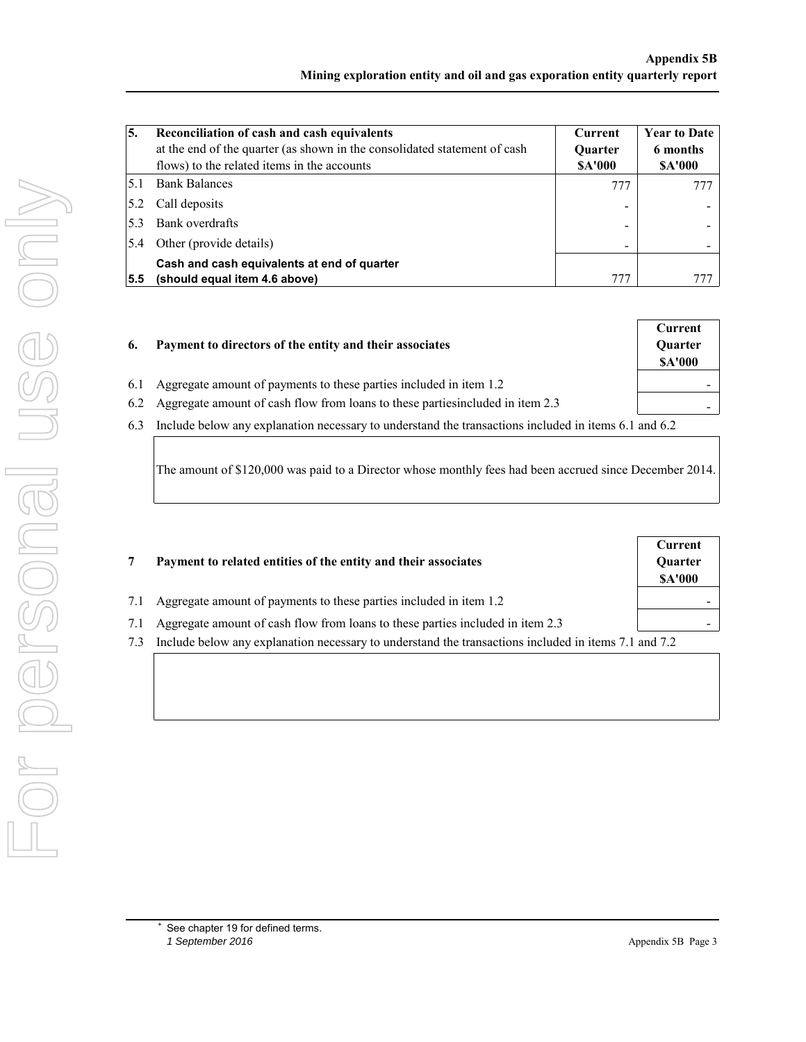| 5.  | Reconciliation of cash and cash equivalents<br>at the end of the quarter (as shown in the consolidated statement of cash<br>flows) to the related items in the accounts | <b>Current</b><br><b>Ouarter</b><br><b>SA'000</b> | <b>Year to Date</b><br>6 months<br><b>SA'000</b> |
|-----|-------------------------------------------------------------------------------------------------------------------------------------------------------------------------|---------------------------------------------------|--------------------------------------------------|
| 5.1 | <b>Bank Balances</b>                                                                                                                                                    | 777                                               |                                                  |
| 5.2 | Call deposits                                                                                                                                                           |                                                   |                                                  |
| 5.3 | Bank overdrafts                                                                                                                                                         |                                                   |                                                  |
| 5.4 | Other (provide details)                                                                                                                                                 | -                                                 |                                                  |
| 5.5 | Cash and cash equivalents at end of quarter<br>(should equal item 4.6 above)                                                                                            | 777                                               |                                                  |

|     | Payment to directors of the entity and their associates                        | Current<br>Quarter<br><b>SA'000</b> |
|-----|--------------------------------------------------------------------------------|-------------------------------------|
|     | Aggregate amount of payments to these parties included in item 1.2             | -                                   |
| 6.2 | Aggregate amount of cash flow from loans to these parties included in item 2.3 | -                                   |

6.3 Include below any explanation necessary to understand the transactions included in items 6.1 and 6.2

The amount of \$120,000 was paid to a Director whose monthly fees had been accrued since December 2014.

|     | Payment to related entities of the entity and their associates                                       | Current<br>Quarter<br><b>SA'000</b> |
|-----|------------------------------------------------------------------------------------------------------|-------------------------------------|
| 7.1 | Aggregate amount of payments to these parties included in item 1.2                                   |                                     |
| 7.1 | Aggregate amount of cash flow from loans to these parties included in item 2.3                       |                                     |
| 7.3 | Include below any explanation necessary to understand the transactions included in items 7.1 and 7.2 |                                     |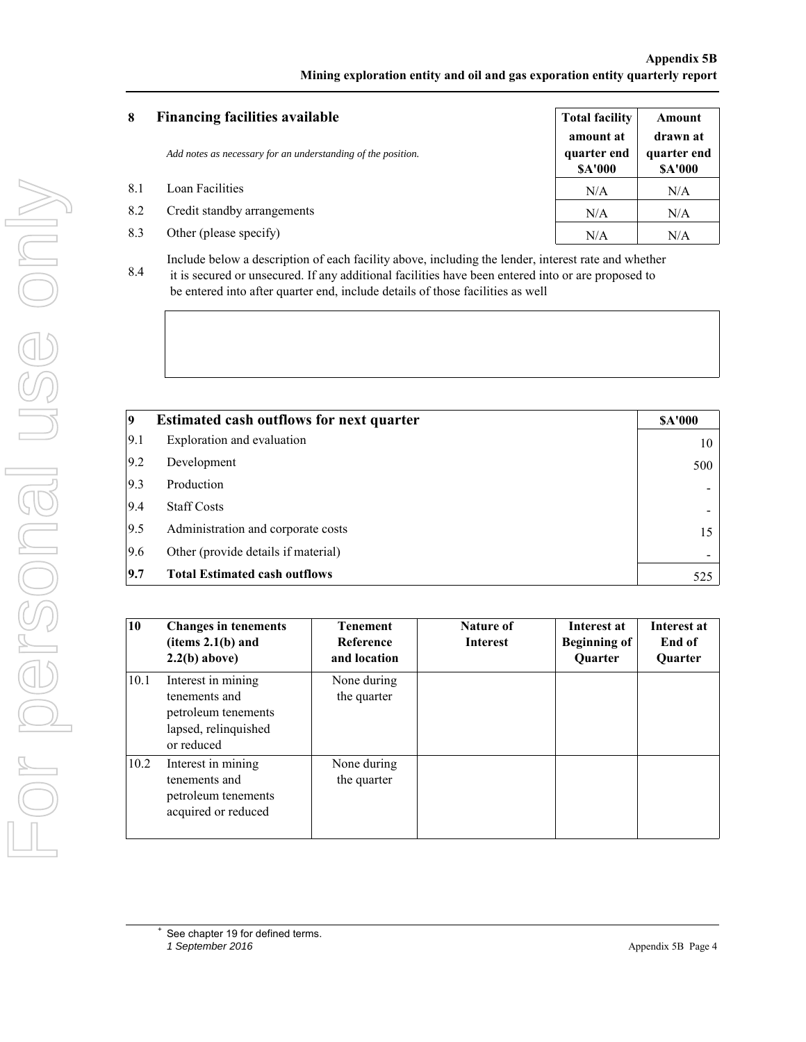#### **Appendix 5B Mining exploration entity and oil and gas exporation entity quarterly report**

| 8   | <b>Financing facilities available</b>                        | <b>Total facility</b>                     | Amount                                   |
|-----|--------------------------------------------------------------|-------------------------------------------|------------------------------------------|
|     | Add notes as necessary for an understanding of the position. | amount at<br>quarter end<br><b>SA'000</b> | drawn at<br>quarter end<br><b>SA'000</b> |
| 8.1 | Loan Facilities                                              | N/A                                       | N/A                                      |
| 8.2 | Credit standby arrangements                                  | N/A                                       | N/A                                      |
| 8.3 | Other (please specify)                                       | N/A                                       | N/A                                      |

8.4 Include below a description of each facility above, including the lender, interest rate and whether it is secured or unsecured. If any additional facilities have been entered into or are proposed to be entered into after quarter end, include details of those facilities as well

| 9   | <b>Estimated cash outflows for next quarter</b> | <b>SA'000</b>            |
|-----|-------------------------------------------------|--------------------------|
| 9.1 | Exploration and evaluation                      | 10                       |
| 9.2 | Development                                     | 500                      |
| 9.3 | Production                                      |                          |
| 9.4 | <b>Staff Costs</b>                              | $\overline{\phantom{a}}$ |
| 9.5 | Administration and corporate costs              | 15                       |
| 9.6 | Other (provide details if material)             |                          |
| 9.7 | <b>Total Estimated cash outflows</b>            | 525                      |

| 10   | <b>Changes in tenements</b><br>(items 2.1(b) and<br>$2.2(b)$ above)                              | <b>Tenement</b><br>Reference<br>and location | Nature of<br><b>Interest</b> | Interest at<br><b>Beginning of</b><br>Quarter | Interest at<br>End of<br><b>Ouarter</b> |
|------|--------------------------------------------------------------------------------------------------|----------------------------------------------|------------------------------|-----------------------------------------------|-----------------------------------------|
| 10.1 | Interest in mining<br>tenements and<br>petroleum tenements<br>lapsed, relinquished<br>or reduced | None during<br>the quarter                   |                              |                                               |                                         |
| 10.2 | Interest in mining<br>tenements and<br>petroleum tenements<br>acquired or reduced                | None during<br>the quarter                   |                              |                                               |                                         |